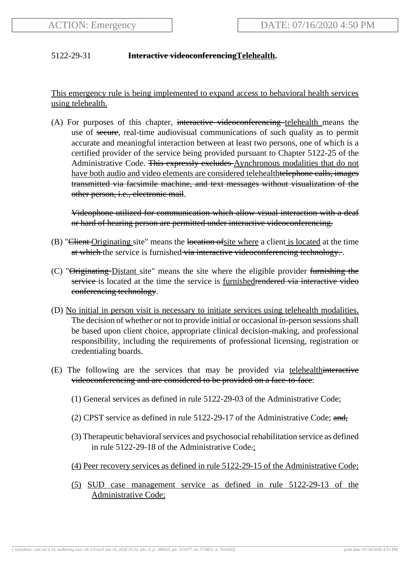## 5122-29-31 **Interactive videoconferencingTelehealth.**

This emergency rule is being implemented to expand access to behavioral health services using telehealth.

(A) For purposes of this chapter, interactive videoconferencing telehealth means the use of secure, real-time audiovisual communications of such quality as to permit accurate and meaningful interaction between at least two persons, one of which is a certified provider of the service being provided pursuant to Chapter 5122-25 of the Administrative Code. This expressly excludes Aynchronous modalities that do not have both audio and video elements are considered telehealthtelephone calls, images transmitted via facsimile machine, and text messages without visualization of the other person, i.e., electronic mail.

Videophone utilized for communication which allow visual interaction with a deaf or hard of hearing person are permitted under interactive videoconferencing.

- (B) "Client Originating site" means the location of site where a client is located at the time at which the service is furnished via interactive videoconferencing technology...
- (C) " $\Theta$ riginating Distant site" means the site where the eligible provider furnishing the service is located at the time the service is furnishedrendered via interactive video conferencing technology.
- (D) No initial in person visit is necessary to initiate services using telehealth modalities. The decision of whether or not to provide initial or occasional in-person sessions shall be based upon client choice, appropriate clinical decision-making, and professional responsibility, including the requirements of professional licensing, registration or credentialing boards.
- (E) The following are the services that may be provided via telehealthinteractive videoconferencing and are considered to be provided on a face-to-face:
	- (1) General services as defined in rule 5122-29-03 of the Administrative Code;
	- (2) CPST service as defined in rule  $5122-29-17$  of the Administrative Code; and,
	- (3) Therapeutic behavioral services and psychosocial rehabilitation service as defined in rule 5122-29-18 of the Administrative Code.;
	- (4) Peer recovery services as defined in rule 5122-29-15 of the Administrative Code;
	- (5) SUD case management service as defined in rule 5122-29-13 of the Administrative Code;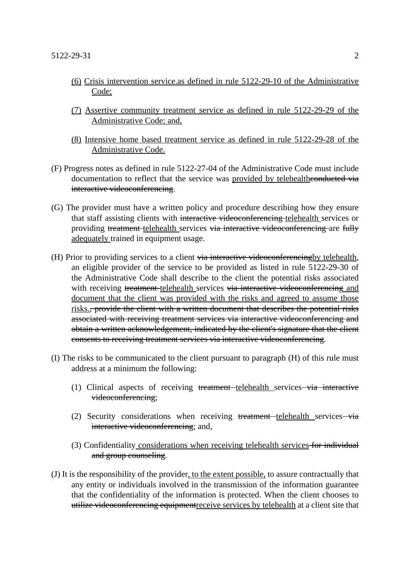- (6) Crisis intervention service.as defined in rule 5122-29-10 of the Administrative Code;
- (7) Assertive community treatment service as defined in rule 5122-29-29 of the Administrative Code; and,
- (8) Intensive home based treatment service as defined in rule 5122-29-28 of the Administrative Code.
- (F) Progress notes as defined in rule 5122-27-04 of the Administrative Code must include documentation to reflect that the service was provided by telehealtheonducted via interactive videoconferencing.
- (G) The provider must have a written policy and procedure describing how they ensure that staff assisting clients with interactive videoconferencing telehealth services or providing treatment telehealth services via interactive videoconferencing are fully adequately trained in equipment usage.
- (H) Prior to providing services to a client via interactive videoconferencing by telehealth, an eligible provider of the service to be provided as listed in rule 5122-29-30 of the Administrative Code shall describe to the client the potential risks associated with receiving treatment telehealth services via interactive videoconferencing and document that the client was provided with the risks and agreed to assume those risks., provide the client with a written document that describes the potential risks associated with receiving treatment services via interactive videoconferencing and obtain a written acknowledgement, indicated by the client's signature that the client consents to receiving treatment services via interactive videoconferencing.
- (I) The risks to be communicated to the client pursuant to paragraph (H) of this rule must address at a minimum the following:
	- (1) Clinical aspects of receiving treatment telehealth services via interactive videoconferencing;
	- (2) Security considerations when receiving  $t$ reatment telehealth services via interactive videoconferencing; and,
	- (3) Confidentiality considerations when receiving telehealth services for individual and group counseling.
- (J) It is the responsibility of the provider, to the extent possible, to assure contractually that any entity or individuals involved in the transmission of the information guarantee that the confidentiality of the information is protected. When the client chooses to utilize videoconferencing equipmentreceive services by telehealth at a client site that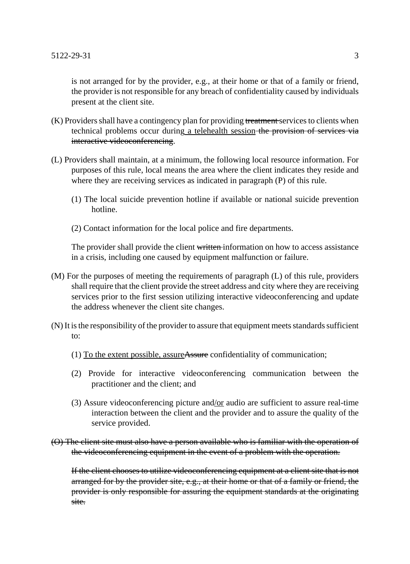is not arranged for by the provider, e.g., at their home or that of a family or friend, the provider is not responsible for any breach of confidentiality caused by individuals present at the client site.

- (K) Providers shall have a contingency plan for providing treatment services to clients when technical problems occur during a telehealth session-the provision of services via interactive videoconferencing.
- (L) Providers shall maintain, at a minimum, the following local resource information. For purposes of this rule, local means the area where the client indicates they reside and where they are receiving services as indicated in paragraph (P) of this rule.
	- (1) The local suicide prevention hotline if available or national suicide prevention hotline.
	- (2) Contact information for the local police and fire departments.

The provider shall provide the client written information on how to access assistance in a crisis, including one caused by equipment malfunction or failure.

- (M) For the purposes of meeting the requirements of paragraph (L) of this rule, providers shall require that the client provide the street address and city where they are receiving services prior to the first session utilizing interactive videoconferencing and update the address whenever the client site changes.
- (N) It is the responsibility of the provider to assure that equipment meets standards sufficient to:
	- (1) To the extent possible, assureAssure confidentiality of communication;
	- (2) Provide for interactive videoconferencing communication between the practitioner and the client; and
	- (3) Assure videoconferencing picture and/or audio are sufficient to assure real-time interaction between the client and the provider and to assure the quality of the service provided.

(O) The client site must also have a person available who is familiar with the operation of the videoconferencing equipment in the event of a problem with the operation.

If the client chooses to utilize videoconferencing equipment at a client site that is not arranged for by the provider site, e.g., at their home or that of a family or friend, the provider is only responsible for assuring the equipment standards at the originating site.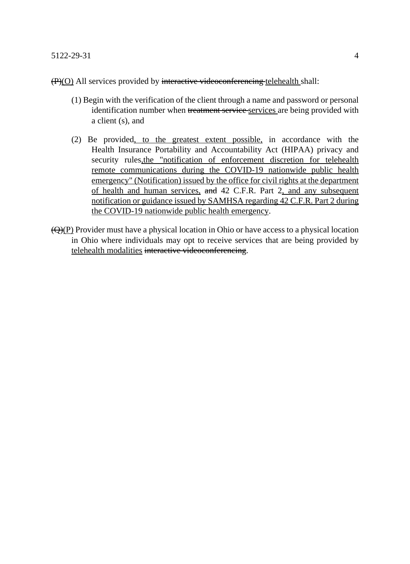(P)(O) All services provided by interactive videoconferencing telehealth shall:

- (1) Begin with the verification of the client through a name and password or personal identification number when treatment service services are being provided with a client (s), and
- (2) Be provided, to the greatest extent possible, in accordance with the Health Insurance Portability and Accountability Act (HIPAA) privacy and security rules, the "notification of enforcement discretion for telehealth remote communications during the COVID-19 nationwide public health emergency" (Notification) issued by the office for civil rights at the department of health and human services, and 42 C.F.R. Part 2, and any subsequent notification or guidance issued by SAMHSA regarding 42 C.F.R. Part 2 during the COVID-19 nationwide public health emergency.
- $\left(\frac{Q}{P}\right)$  Provider must have a physical location in Ohio or have access to a physical location in Ohio where individuals may opt to receive services that are being provided by telehealth modalities interactive videoconferencing.